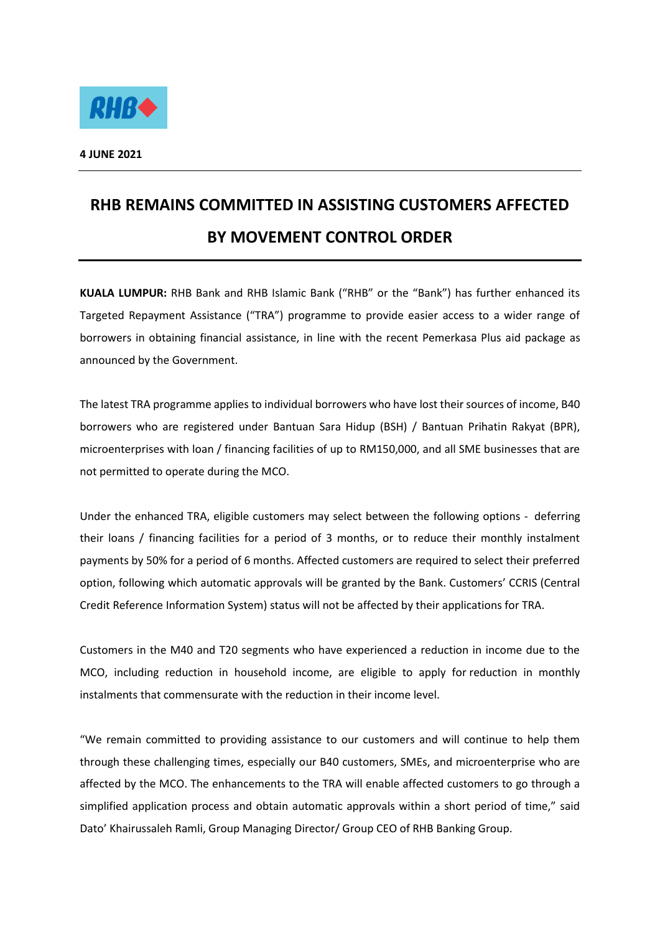

## **RHB REMAINS COMMITTED IN ASSISTING CUSTOMERS AFFECTED BY MOVEMENT CONTROL ORDER**

**KUALA LUMPUR:** RHB Bank and RHB Islamic Bank ("RHB" or the "Bank") has further enhanced its Targeted Repayment Assistance ("TRA") programme to provide easier access to a wider range of borrowers in obtaining financial assistance, in line with the recent Pemerkasa Plus aid package as announced by the Government.

The latest TRA programme applies to individual borrowers who have lost their sources of income, B40 borrowers who are registered under Bantuan Sara Hidup (BSH) / Bantuan Prihatin Rakyat (BPR), microenterprises with loan / financing facilities of up to RM150,000, and all SME businesses that are not permitted to operate during the MCO.

Under the enhanced TRA, eligible customers may select between the following options - deferring their loans / financing facilities for a period of 3 months, or to reduce their monthly instalment payments by 50% for a period of 6 months. Affected customers are required to select their preferred option, following which automatic approvals will be granted by the Bank. Customers' CCRIS (Central Credit Reference Information System) status will not be affected by their applications for TRA.

Customers in the M40 and T20 segments who have experienced a reduction in income due to the MCO, including reduction in household income, are eligible to apply for reduction in monthly instalments that commensurate with the reduction in their income level.

"We remain committed to providing assistance to our customers and will continue to help them through these challenging times, especially our B40 customers, SMEs, and microenterprise who are affected by the MCO. The enhancements to the TRA will enable affected customers to go through a simplified application process and obtain automatic approvals within a short period of time," said Dato' Khairussaleh Ramli, Group Managing Director/ Group CEO of RHB Banking Group.